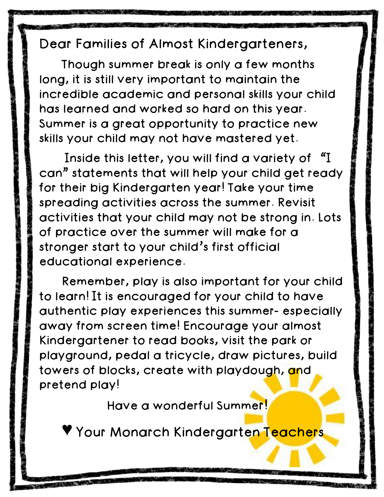## Dear Families of Almost Kindergarteners,

Though summer break is only a few months long, it is still very important to maintain the incredible academic and personal skills your child has learned and worked so hard on this year. Summer is a great opportunity to practice new skills your child may not have mastered yet.

Inside this letter, you will find a variety of "I can" statements that will help your child get ready for their big Kindergarten year! Take your time spreading activities across the summer. Revisit activities that your child may not be strong in. Lots of practice over the summer will make for a stronger start to your child's first official educational experience.

Remember, play is also important for your child to learn! It is encouraged for your child to have authentic play experiences this summer- especially away from screen time! Encourage your almost Kindergartener to read books, visit the park or playground, pedal a tricycle, draw pictures, build towers of blocks, create with playdough, and pretend play!

Have a wonderful Summer!

Your Monarch Kindergarte<mark>n Teacher</mark>s